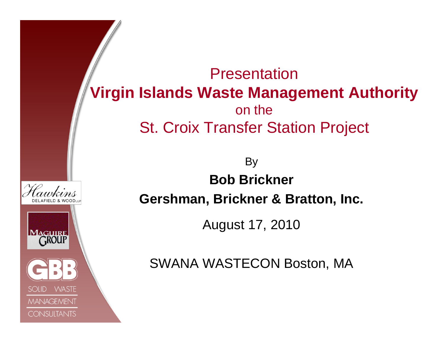Presentation**Virgin Islands Waste Management Authority** on theSt. Croix Transfer Station Project By **Bob BricknerGershman, Brickner & Bratton, Inc.** August 17, 2010 **MAGUIRE** SWANA WASTECON Boston, MA**WASTE MANAGEMENT** 

**CONSULTANTS**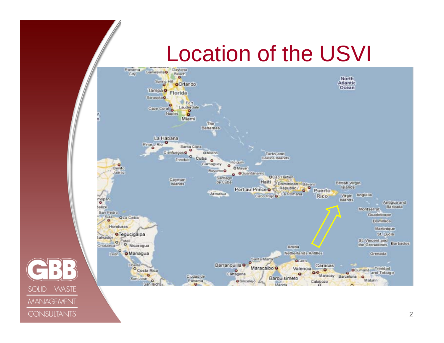# Location of the USVI



**WASTE** 

**MANAGEMENT** 

**CONSULTANTS** 

**SOLID**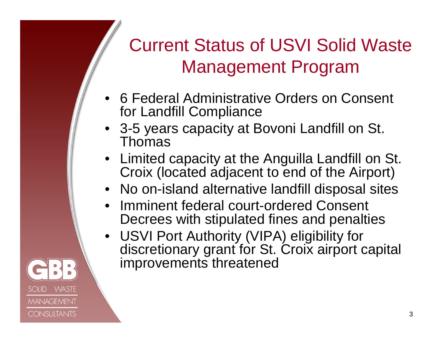### Current Status of USVI Solid Waste Management Program

- • 6 Federal Administrative Orders on Consent for Landfill Compliance
- 3-5 years capacity at Bovoni Landfill on St. Thomas
- Limited capacity at the Anguilla Landfill on St. Croix (located adjacent to end of the Airport)
- No on-island alternative landfill disposal sites
- $\bullet$  Imminent federal court-ordered Consent Decrees with stipulated fines and penalties
- USVI Port Authority (VIPA) eligibility for discretionary grant for St. Croix airport capital improvements threatened

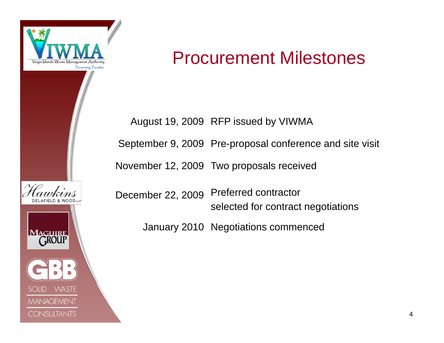

SOHD

**WASTE** 

**MANAGEMENT** 

**CONSULTANTS** 

#### Procurement Milestones

August 19, 2009 RFP issued by VIWMA

September 9, 2009 Pre-proposal conference and site visit

November 12, 2009 Two proposals received

December 22, 2009 Preferred contractor selected for contract negotiations

January 2010 Negotiations commenced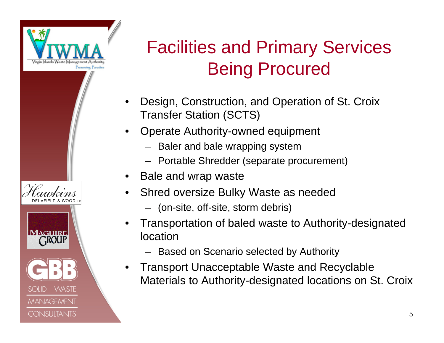

SOLID

**WASTE** 

**MANAGEMENT** 

**CONSULTANTS** 

#### Facilities and Primary Services Being Procured

- • Design, Construction, and Operation of St. Croix Transfer Station (SCTS)
- • Operate Authority-owned equipment
	- Baler and bale wrapping system
	- Portable Shredder (separate procurement)
- •Bale and wrap waste
- • Shred oversize Bulky Waste as needed
	- (on-site, off-site, storm debris)
- • Transportation of baled waste to Authority-designated location
	- Based on Scenario selected by Authority
- • Transport Unacceptable Waste and Recyclable Materials to Authority-designated locations on St. Croix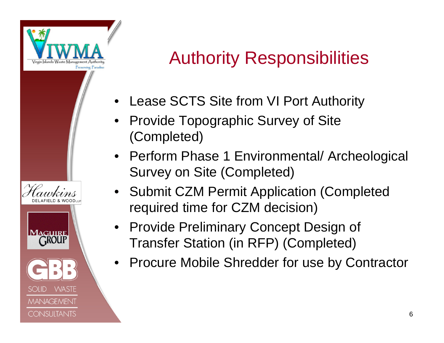

 $SOID$ 

**WASTE** 

**MANAGEMENT** 

**CONSULTANTS** 

#### Authority Responsibilities

- •Lease SCTS Site from VI Port Authority
- • Provide Topographic Survey of Site (Completed)
- Perform Phase 1 Environmental/ Archeological Survey on Site (Completed)
- Submit CZM Permit Application (Completed required time for CZM decision)
- Provide Preliminary Concept Design of Transfer Station (in RFP) (Completed)
- Procure Mobile Shredder for use by Contractor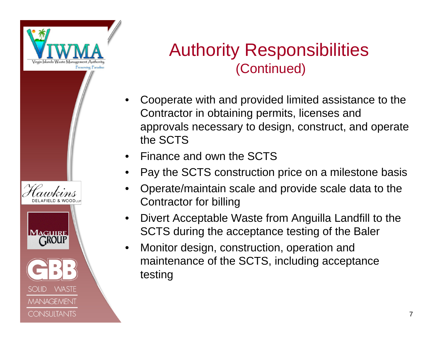

**MAGUIRE ROUP** 

SOHD

**WASTE** 

**MANAGEMENT** 

**CONSULTANTS** 

Authority Responsibilities (Continued)

- $\bullet$  Cooperate with and provided limited assistance to the Contractor in obtaining permits, licenses and approvals necessary to design, construct, and operate the SCTS
- •Finance and own the SCTS
- •Pay the SCTS construction price on a milestone basis
- • Operate/maintain scale and provide scale data to the Contractor for billing
- • Divert Acceptable Waste from Anguilla Landfill to the SCTS during the acceptance testing of the Baler
- $\bullet$  Monitor design, construction, operation and maintenance of the SCTS, including acceptance testing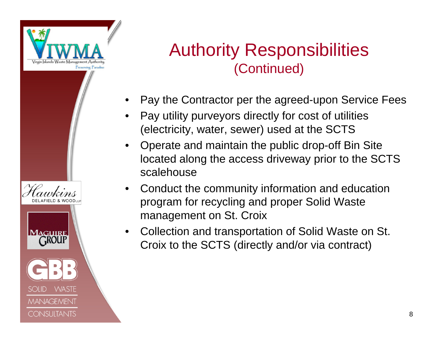

**MAGUIRE ROUP** 

SOHD.

**WASTE** 

**MANAGEMENT** 

**CONSULTANTS** 

#### Authority Responsibilities (Continued)

- •Pay the Contractor per the agreed-upon Service Fees
- • Pay utility purveyors directly for cost of utilities (electricity, water, sewer) used at the SCTS
- • Operate and maintain the public drop-off Bin Site located along the access driveway prior to the SCTS scalehouse
- $\bullet$  Conduct the community information and education program for recycling and proper Solid Waste management on St. Croix
- • Collection and transportation of Solid Waste on St. Croix to the SCTS (directly and/or via contract)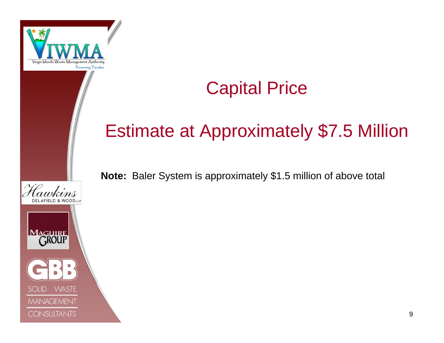

#### Capital Price

#### Estimate at Approximately \$7.5 Million

**Note:** Baler System is approximately \$1.5 million of above total

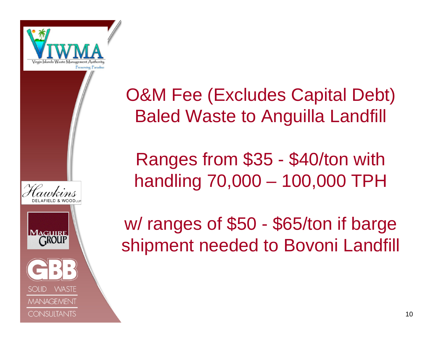

**MAGUIRE CROUP** 

**WASTE** 

**MANAGEMENT** 

**CONSULTANTS** 



Ranges from \$35 - \$40/ton with handling 70,000 – 100,000 TPH

w/ ranges of \$50 - \$65/ton if barge shipment needed to Bovoni Landfill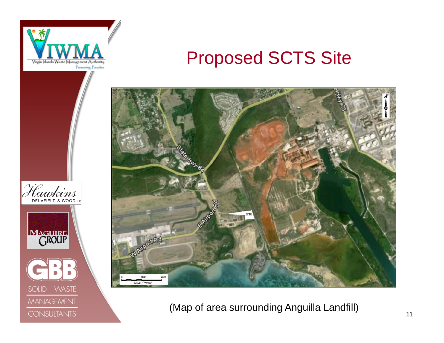

Hawkins

MAGUIRE

**SOLID** 

DELAFIELD & WOODLLP

**WASTE** 

MANAGEMENT

**CONSULTANTS** 

#### Proposed SCTS Site



(Map of area surrounding Anguilla Landfill)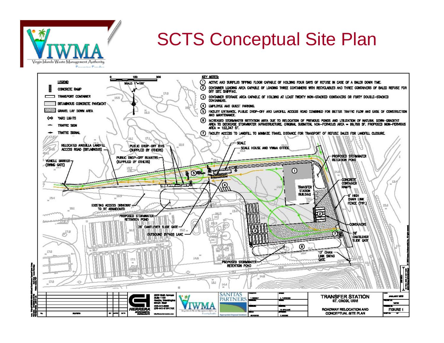

#### SCTS Conceptual Site Plan

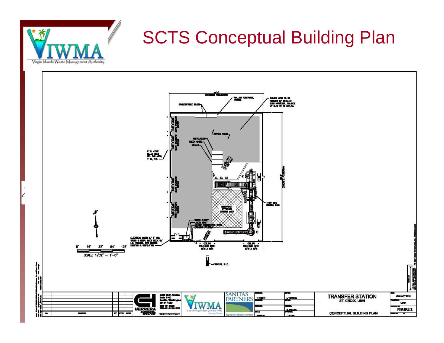

## SCTS Conceptual Building Plan

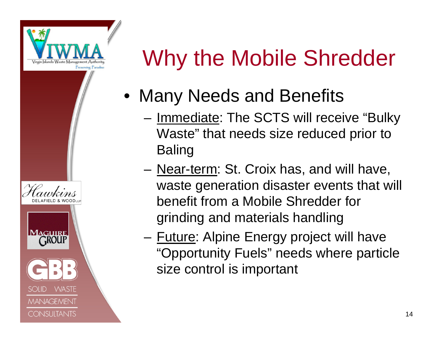

SOLID

**WASTE** 

**MANAGEMENT** 

**CONSULTANTS** 



- Many Needs and Benefits
	- –- <u>Immediate</u>: The SCTS will receive "Bulky Waste" that needs size reduced prior to Baling
	- –– <u>Near-term</u>: St. Croix has, and will have, waste generation disaster events that will benefit from a Mobile Shredder for grinding and materials handling
	- –– <u>Future</u>: Alpine Energy project will have "Opportunity Fuels" needs where particle size control is important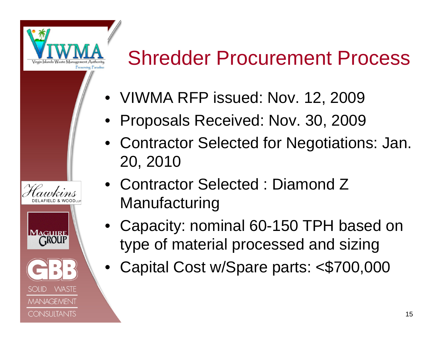

**WASTE** 

**MANAGEMENT** 

**CONSULTANTS** 

# Shredder Procurement Process

- VIWMA RFP issued: Nov. 12, 2009
- Proposals Received: Nov. 30, 2009
- Contractor Selected for Negotiations: Jan. 20, 2010
- Contractor Selected : Diamond Z **Manufacturing**
- Capacity: nominal 60-150 TPH based on type of material processed and sizing
- Capital Cost w/Spare parts: <\$700,000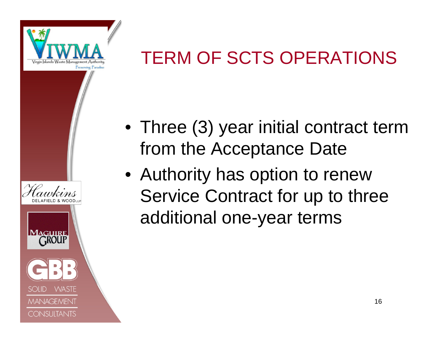

#### TERM OF SCTS OPERATIONS



- Three (3) year initial contract term from the Acceptance Date
- Authority has option to renew Service Contract for up to three additional one-year terms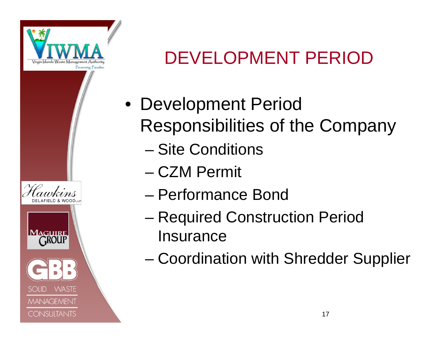

**WASTE** 

**MANAGEMENT** 

**CONSULTANTS** 

#### DEVELOPMENT PERIOD

- Development Period Responsibilities of the Company
	- Site Conditions
	- CZM Permit
	- Performance Bond
	- – Required Construction Period Insurance
	- Coordination with Shredder Supplier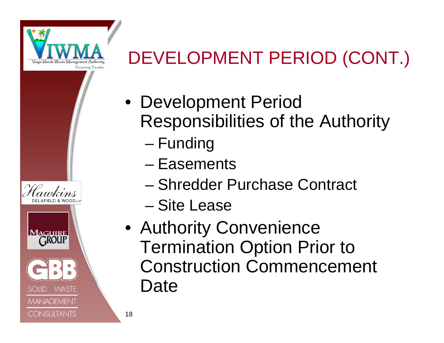

**WASTE** 

**MANAGEMENT** 

**CONSULTANTS** 

## DEVELOPMENT PERIOD (CONT.)

- Development Period Responsibilities of the Authority
	- –– Funding
	- Easements
	- Shredder Purchase Contract
	- Site Lease
	- Authority Convenience Termination Option Prior to Construction Commencement Date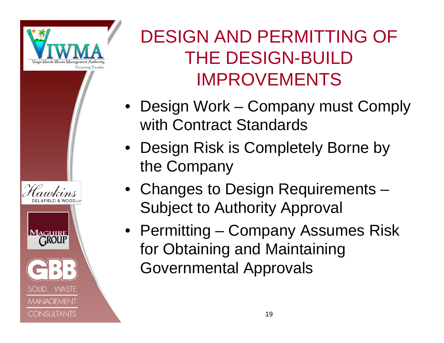

**WASTE** 

**MANAGEMENT** 

**CONSULTANTS** 

### DESIGN AND PERMITTING OF THE DESIGN-BUILD IMPROVEMENTS

- Design Work Company must Comply with Contract Standards
- Design Risk is Completely Borne by the Company
- Changes to Design Requirements Subject to Authority Approval
- Permitting Company Assumes Risk for Obtaining and Maintaining Governmental Approvals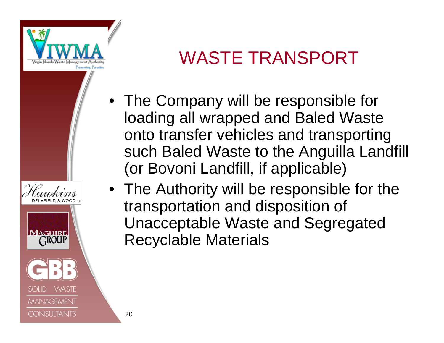

**WASTE** 

**MANAGEMENT** 

**CONSULTANTS** 

#### WASTE TRANSPORT

- The Company will be responsible for loading all wrapped and Baled Waste onto transfer vehicles and transporting such Baled Waste to the Anguilla Landfill (or Bovoni Landfill, if applicable)
- The Authority will be responsible for the transportation and disposition of Unacceptable Waste and Segregated Recyclable Materials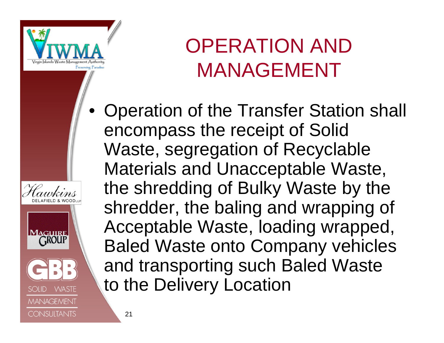

**WASTE** 

**MANAGEMENT** 

**CONSULTANTS** 

# OPERATION AND MANAGEMENT

• Operation of the Transfer Station shall encompass the receipt of Solid Waste, segregation of Recyclable Materials and Unacceptable Waste, the shredding of Bulky Waste by the shredder, the baling and wrapping of Acceptable Waste, loading wrapped, Baled Waste onto Company vehicles and transporting such Baled Waste to the Delivery Location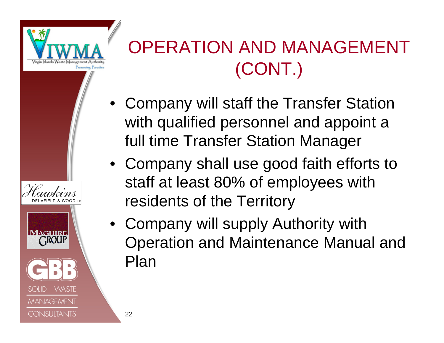

**WASTE** 

**MANAGEMENT** 

**CONSULTANTS** 

### OPERATION AND MANAGEMENT (CONT.)

- Company will staff the Transfer Station with qualified personnel and appoint a full time Transfer Station Manager
- Company shall use good faith efforts to staff at least 80% of employees with residents of the Territory
- Company will supply Authority with Operation and Maintenance Manual and Plan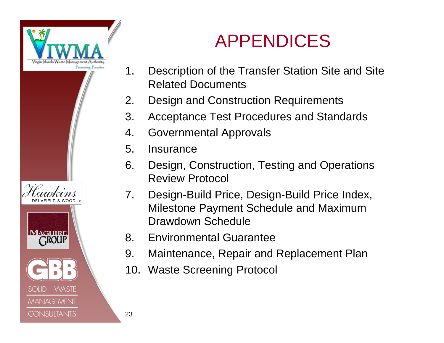



#### APPENDICES

- 1. Description of the Transfer Station Site and Site Related Documents
- 2. Design and Construction Requirements
- 3. Acceptance Test Procedures and Standards
- 4. Governmental Approvals
- 5. Insurance
- 6. Design, Construction, Testing and Operations Review Protocol
- 7. Design-Build Price, Design-Build Price Index, Milestone Payment Schedule and Maximum Drawdown Schedule
- 8. Environmental Guarantee
- 9. Maintenance, Repair and Replacement Plan
- 10. Waste Screening Protocol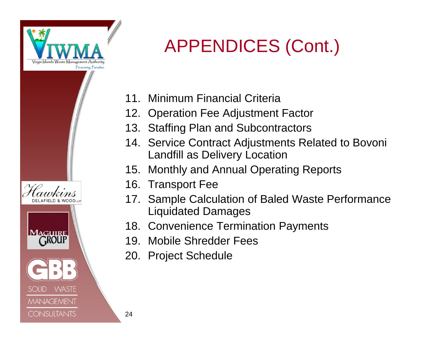

**MAGUIRE GROUP** 

SOHD

**WASTE** 

**MANAGEMENT** 

**CONSULTANTS** 

### APPENDICES (Cont.)

- 11. Minimum Financial Criteria
- 12. Operation Fee Adjustment Factor
- 13. Staffing Plan and Subcontractors
- 14. Service Contract Adjustments Related to Bovoni Landfill as Delivery Location
- 15. Monthly and Annual Operating Reports
- 16. Transport Fee
- 17. Sample Calculation of Baled Waste Performance Liquidated Damages
- 18. Convenience Termination Payments
- 19. Mobile Shredder Fees
- 20. Project Schedule